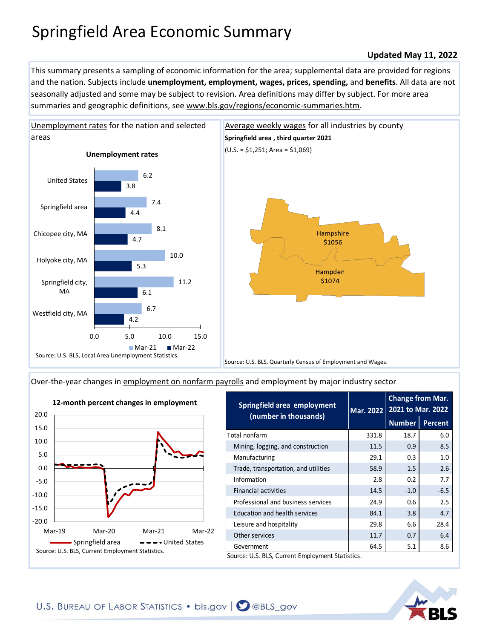## Springfield Area Economic Summary

### **Updated May 11, 2022**

This summary presents a sampling of economic information for the area; supplemental data are provided for regions and the nation. Subjects include **unemployment, employment, wages, prices, spending,** and **benefits**. All data are not seasonally adjusted and some may be subject to revision. Area definitions may differ by subject. For more area summaries and geographic definitions, see www.bls.gov/regions/economic-summaries.htm.





[Over-the-year changes in employment on nonfarm payrolls](https://www.bls.gov/sae/) and employment by major industry sector



| Springfield area employment<br>Mar. 2022         |       | <b>Change from Mar.</b><br>2021 to Mar. 2022 |                |  |
|--------------------------------------------------|-------|----------------------------------------------|----------------|--|
| (number in thousands)                            |       | <b>Number</b>                                | <b>Percent</b> |  |
| Total nonfarm                                    | 331.8 | 18.7                                         | 6.0            |  |
| Mining, logging, and construction                | 11.5  | 0.9                                          | 8.5            |  |
| Manufacturing                                    | 29.1  | 0.3                                          | 1.0            |  |
| Trade, transportation, and utilities             | 58.9  | 1.5                                          | 2.6            |  |
| Information                                      | 2.8   | 0.2                                          | 7.7            |  |
| <b>Financial activities</b>                      | 14.5  | $-1.0$                                       | $-6.5$         |  |
| Professional and business services               | 24.9  | 0.6                                          | 2.5            |  |
| <b>Education and health services</b>             | 84.1  | 3.8                                          | 4.7            |  |
| Leisure and hospitality                          | 29.8  | 6.6                                          | 28.4           |  |
| Other services                                   | 11.7  | 0.7                                          | 6.4            |  |
| Government                                       | 64.5  | 5.1                                          | 8.6            |  |
| Source: U.S. BLS, Current Employment Statistics. |       |                                              |                |  |